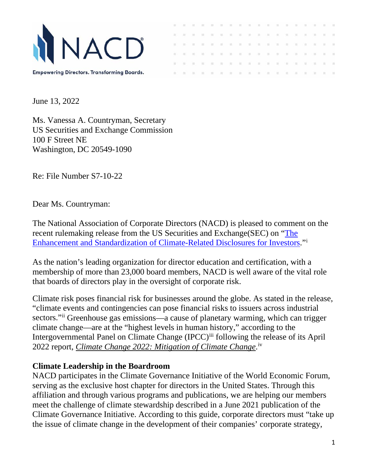

180  $\pm 0$  $-144$  $\sim$ **INC**  $\alpha$  $\overline{\mathcal{M}}$  .  $\overline{\mathcal{M}}$  $-16$ -98  $\alpha$ **GET** XXXXXXXXXXXXXXXX

June 13, 2022

Ms. Vanessa A. Countryman, Secretary US Securities and Exchange Commission 100 F Street NE Washington, DC 20549-1090

Re: File Number S7-10-22

Dear Ms. Countryman:

The National Association of Corporate Directors (NACD) is pleased to comment on the recent rulemaking release from the US Securities and Exchange(SEC) on ["The](https://www.sec.gov/rules/proposed/2022/33-11042.pdf)  Enhancement and Standardization [of Climate-Related Disclosures for Investors.](https://www.sec.gov/rules/proposed/2022/33-11042.pdf)"[i](#page--1-0)

As the nation's leading organization for director education and certification, with a membership of more than 23,000 board members, NACD is well aware of the vital role that boards of directors play in the oversight of corporate risk.

Climate risk poses financial risk for businesses around the globe. As stated in the release, "climate events and contingencies can pose financial risks to issuers across industrial sectors."[ii](#page--1-1) Greenhouse gas emissions—a cause of planetary warming, which can trigger climate change—are at the "highest levels in human history," according to the Intergovernmental Panel on Climate Change (IPCC)<sup>[iii](#page--1-2)</sup> following the release of its April 2022 report, *[Climate Change 2022: Mitigation of Climate Change](https://report.ipcc.ch/ar6wg3/pdf/IPCC_AR6_WGIII_FinalDraft_FullReport.pdf)*.<sup>[iv](#page--1-3)</sup>

## **Climate Leadership in the Boardroom**

NACD participates in the Climate Governance Initiative of the World Economic Forum, serving as the exclusive host chapter for directors in the United States. Through this affiliation and through various programs and publications, we are helping our members meet the challenge of climate stewardship described in a June 2021 publication of the Climate Governance Initiative. According to this guide, corporate directors must "take up the issue of climate change in the development of their companies' corporate strategy,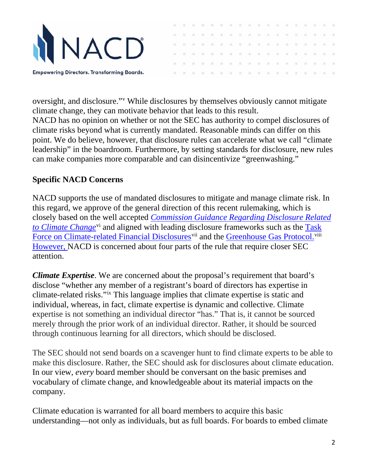

 $\sim$  $\sim$ **COL** on.  $\sim$  $-10$ 180  $-16 - 16 = 16 - 16$  $\mathbb{R}^2$  $\sim$  $-100 - 100 - 100$  $\sim$  $-10$  $\sim$  $87.98 - 87.$ . . . . . . . . . . . . . . . . .

oversight, and disclosure."[v](#page--1-4) While disclosures by themselves obviously cannot mitigate climate change, they can motivate behavior that leads to this result. NACD has no opinion on whether or not the SEC has authority to compel disclosures of climate risks beyond what is currently mandated. Reasonable minds can differ on this point. We do believe, however, that disclosure rules can accelerate what we call "climate leadership" in the boardroom. Furthermore, by setting standards for disclosure, new rules can make companies more comparable and can disincentivize "greenwashing."

## **Specific NACD Concerns**

NACD supports the use of mandated disclosures to mitigate and manage climate risk. In this regard, we approve of the general direction of this recent rulemaking, which is closely based on the well accepted *[Commission Guidance Regarding Disclosure Related](https://www.sec.gov/rules/interp/2010/33-9106.pdf)  [to Climate Change](https://www.sec.gov/rules/interp/2010/33-9106.pdf)*<sup>[vi](#page--1-5)</sup> and aligned with leading disclosure frameworks such as the Task [Force on Climate-related Financial Disclosures](https://www.fsb-tcfd.org/)<sup>[vii](#page--1-6)</sup> and the [Greenhouse Gas Protocol.](https://ghgprotocol.org/)<sup>[viii](#page--1-7)</sup> However, NACD is concerned about four parts of the rule that require closer SEC attention.

*Climate Expertise*. We are concerned about the proposal's requirement that board's disclose "whether any member of a registrant's board of directors has expertise in climate-related risks."[ix](#page--1-8) This language implies that climate expertise is static and individual, whereas, in fact, climate expertise is dynamic and collective. Climate expertise is not something an individual director "has." That is, it cannot be sourced merely through the prior work of an individual director. Rather, it should be sourced through continuous learning for all directors, which should be disclosed.

The SEC should not send boards on a scavenger hunt to find climate experts to be able to make this disclosure. Rather, the SEC should ask for disclosures about climate education. In our view, *every* board member should be conversant on the basic premises and vocabulary of climate change, and knowledgeable about its material impacts on the company.

Climate education is warranted for all board members to acquire this basic understanding—not only as individuals, but as full boards. For boards to embed climate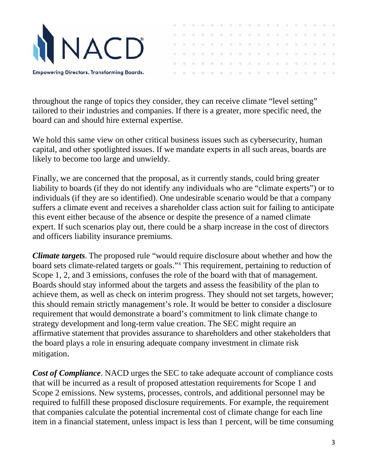

throughout the range of topics they consider, they can receive climate "level setting" tailored to their industries and companies. If there is a greater, more specific need, the board can and should hire external expertise.

 $\sim$  $-100$  $\sim$ 

 $\sim$  $-10$ - 98

 $\mathbb{R}^2$  $\sim$ 

 $10 - 10 = 10$ 

XXXXXXXXXXXXXXX

 $\sim$ 

宝

 $22$   $22$   $\,$ 

 $\mathbb{R}$  and

We hold this same view on other critical business issues such as cybersecurity, human capital, and other spotlighted issues. If we mandate experts in all such areas, boards are likely to become too large and unwieldy.

Finally, we are concerned that the proposal, as it currently stands, could bring greater liability to boards (if they do not identify any individuals who are "climate experts") or to individuals (if they are so identified). One undesirable scenario would be that a company suffers a climate event and receives a shareholder class action suit for failing to anticipate this event either because of the absence or despite the presence of a named climate expert. If such scenarios play out, there could be a sharp increase in the cost of directors and officers liability insurance premiums.

*Climate targets*. The proposed rule "would require disclosure about whether and how the board sets climate-related targets or goals."[x](#page--1-9) This requirement, pertaining to reduction of Scope 1, 2, and 3 emissions, confuses the role of the board with that of management. Boards should stay informed about the targets and assess the feasibility of the plan to achieve them, as well as check on interim progress. They should not set targets, however; this should remain strictly management's role. It would be better to consider a disclosure requirement that would demonstrate a board's commitment to link climate change to strategy development and long-term value creation. The SEC might require an affirmative statement that provides assurance to shareholders and other stakeholders that the board plays a role in ensuring adequate company investment in climate risk mitigation.

*Cost of Compliance*. NACD urges the SEC to take adequate account of compliance costs that will be incurred as a result of proposed attestation requirements for Scope 1 and Scope 2 emissions. New systems, processes, controls, and additional personnel may be required to fulfill these proposed disclosure requirements. For example, the requirement that companies calculate the potential incremental cost of climate change for each line item in a financial statement, unless impact is less than 1 percent, will be time consuming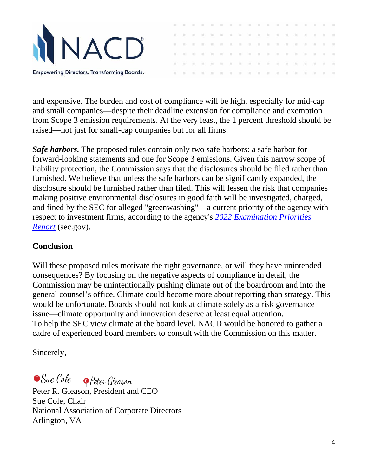

and expensive. The burden and cost of compliance will be high, especially for mid-cap and small companies—despite their deadline extension for compliance and exemption from Scope 3 emission requirements. At the very least, the 1 percent threshold should be raised—not just for small-cap companies but for all firms.

 $-501$  $\sim$ 

 $\sim$  $\alpha$  $\sim$  $\sim$ 

 $\mathbf{u}$ 

**THE**  $\sim$ -98  $\alpha$  $\sim$ 寅

 $\mathcal{W}=\mathcal{W}$ 

. . . . . . . . . . . . . . . . .

**INC** 

*Safe harbors.* The proposed rules contain only two safe harbors: a safe harbor for forward-looking statements and one for Scope 3 emissions. Given this narrow scope of liability protection, the Commission says that the disclosures should be filed rather than furnished. We believe that unless the safe harbors can be significantly expanded, the disclosure should be furnished rather than filed. This will lessen the risk that companies making positive environmental disclosures in good faith will be investigated, charged, and fined by the SEC for alleged "greenwashing"—a current priority of the agency with respect to investment firms, according to the agency's *[2022 Examination Priorities](https://www.sec.gov/files/2022-exam-priorities.pdf)  [Report](https://www.sec.gov/files/2022-exam-priorities.pdf)* (sec.gov).

## **Conclusion**

Will these proposed rules motivate the right governance, or will they have unintended consequences? By focusing on the negative aspects of compliance in detail, the Commission may be unintentionally pushing climate out of the boardroom and into the general counsel's office. Climate could become more about reporting than strategy. This would be unfortunate. Boards should not look at climate solely as a risk governance issue—climate opportunity and innovation deserve at least equal attention. To help the SEC view climate at the board level, NACD would be honored to gather a cadre of experienced board members to consult with the Commission on this matter.

Sincerely,

**Sue Cole** Peter Gleason

Peter R. Gleas[on, President and CE](https://na1.conga-sign.com/app/v1/audit/transaction/d1bi7vxtfnxyqug1psy0szv9uiikqmls4ywmfndt71c191hub)O Sue Cole, Chair National Association of Corporate Directors Arlington, VA